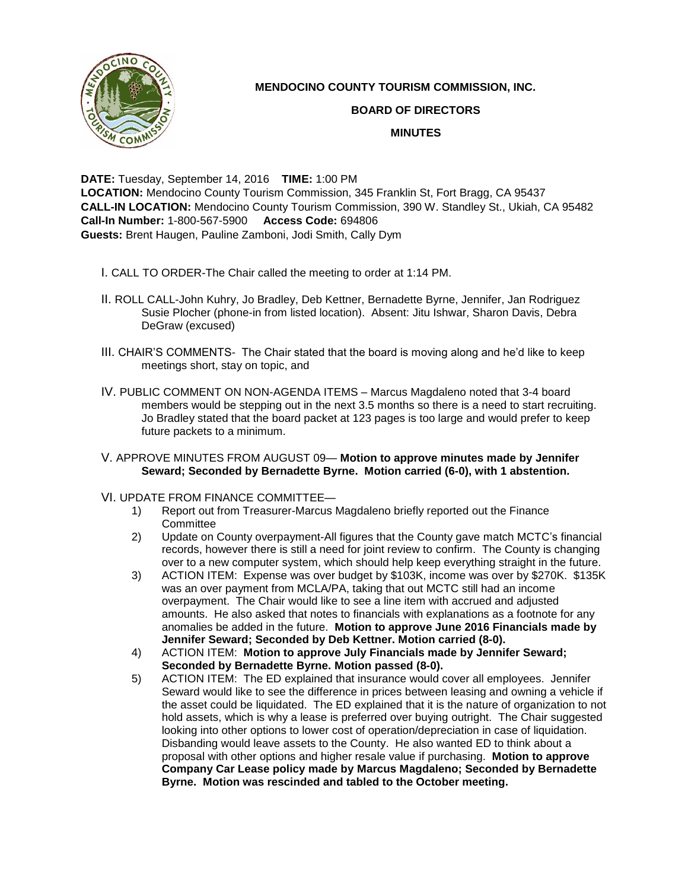

## **MENDOCINO COUNTY TOURISM COMMISSION, INC.**

## **BOARD OF DIRECTORS**

## **MINUTES**

**DATE:** Tuesday, September 14, 2016 **TIME:** 1:00 PM **LOCATION:** Mendocino County Tourism Commission, 345 Franklin St, Fort Bragg, CA 95437 **CALL-IN LOCATION:** Mendocino County Tourism Commission, 390 W. Standley St., Ukiah, CA 95482 **Call-In Number:** 1-800-567-5900 **Access Code:** 694806 **Guests:** Brent Haugen, Pauline Zamboni, Jodi Smith, Cally Dym

- I. CALL TO ORDER-The Chair called the meeting to order at 1:14 PM.
- II. ROLL CALL-John Kuhry, Jo Bradley, Deb Kettner, Bernadette Byrne, Jennifer, Jan Rodriguez Susie Plocher (phone-in from listed location). Absent: Jitu Ishwar, Sharon Davis, Debra DeGraw (excused)
- III. CHAIR'S COMMENTS- The Chair stated that the board is moving along and he'd like to keep meetings short, stay on topic, and
- IV. PUBLIC COMMENT ON NON-AGENDA ITEMS Marcus Magdaleno noted that 3-4 board members would be stepping out in the next 3.5 months so there is a need to start recruiting. Jo Bradley stated that the board packet at 123 pages is too large and would prefer to keep future packets to a minimum.
- V. APPROVE MINUTES FROM AUGUST 09— **Motion to approve minutes made by Jennifer Seward; Seconded by Bernadette Byrne. Motion carried (6-0), with 1 abstention.**
- VI. UPDATE FROM FINANCE COMMITTEE—
	- 1) Report out from Treasurer-Marcus Magdaleno briefly reported out the Finance **Committee**
	- 2) Update on County overpayment-All figures that the County gave match MCTC's financial records, however there is still a need for joint review to confirm. The County is changing over to a new computer system, which should help keep everything straight in the future.
	- 3) ACTION ITEM: Expense was over budget by \$103K, income was over by \$270K. \$135K was an over payment from MCLA/PA, taking that out MCTC still had an income overpayment. The Chair would like to see a line item with accrued and adjusted amounts. He also asked that notes to financials with explanations as a footnote for any anomalies be added in the future. **Motion to approve June 2016 Financials made by Jennifer Seward; Seconded by Deb Kettner. Motion carried (8-0).**
	- 4) ACTION ITEM: **Motion to approve July Financials made by Jennifer Seward; Seconded by Bernadette Byrne. Motion passed (8-0).**
	- 5) ACTION ITEM: The ED explained that insurance would cover all employees. Jennifer Seward would like to see the difference in prices between leasing and owning a vehicle if the asset could be liquidated. The ED explained that it is the nature of organization to not hold assets, which is why a lease is preferred over buying outright. The Chair suggested looking into other options to lower cost of operation/depreciation in case of liquidation. Disbanding would leave assets to the County. He also wanted ED to think about a proposal with other options and higher resale value if purchasing. **Motion to approve Company Car Lease policy made by Marcus Magdaleno; Seconded by Bernadette Byrne. Motion was rescinded and tabled to the October meeting.**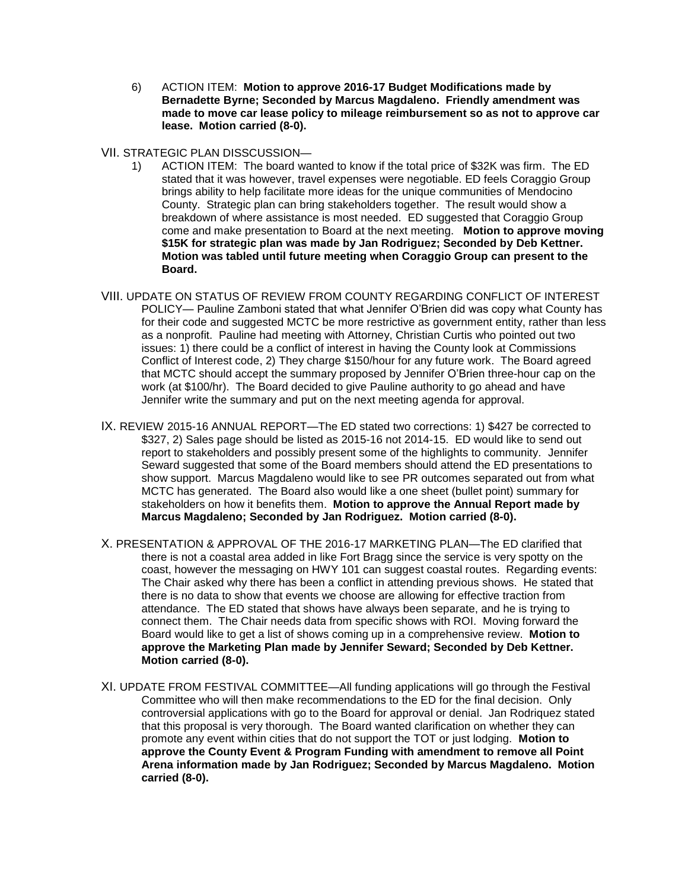6) ACTION ITEM: **Motion to approve 2016-17 Budget Modifications made by Bernadette Byrne; Seconded by Marcus Magdaleno. Friendly amendment was made to move car lease policy to mileage reimbursement so as not to approve car lease. Motion carried (8-0).** 

## VII. STRATEGIC PLAN DISSCUSSION—

- 1) ACTION ITEM: The board wanted to know if the total price of \$32K was firm. The ED stated that it was however, travel expenses were negotiable. ED feels Coraggio Group brings ability to help facilitate more ideas for the unique communities of Mendocino County. Strategic plan can bring stakeholders together. The result would show a breakdown of where assistance is most needed. ED suggested that Coraggio Group come and make presentation to Board at the next meeting. **Motion to approve moving \$15K for strategic plan was made by Jan Rodriguez; Seconded by Deb Kettner. Motion was tabled until future meeting when Coraggio Group can present to the Board.**
- VIII. UPDATE ON STATUS OF REVIEW FROM COUNTY REGARDING CONFLICT OF INTEREST POLICY— Pauline Zamboni stated that what Jennifer O'Brien did was copy what County has for their code and suggested MCTC be more restrictive as government entity, rather than less as a nonprofit. Pauline had meeting with Attorney, Christian Curtis who pointed out two issues: 1) there could be a conflict of interest in having the County look at Commissions Conflict of Interest code, 2) They charge \$150/hour for any future work. The Board agreed that MCTC should accept the summary proposed by Jennifer O'Brien three-hour cap on the work (at \$100/hr). The Board decided to give Pauline authority to go ahead and have Jennifer write the summary and put on the next meeting agenda for approval.
- IX. REVIEW 2015-16 ANNUAL REPORT—The ED stated two corrections: 1) \$427 be corrected to \$327, 2) Sales page should be listed as 2015-16 not 2014-15. ED would like to send out report to stakeholders and possibly present some of the highlights to community. Jennifer Seward suggested that some of the Board members should attend the ED presentations to show support. Marcus Magdaleno would like to see PR outcomes separated out from what MCTC has generated. The Board also would like a one sheet (bullet point) summary for stakeholders on how it benefits them. **Motion to approve the Annual Report made by Marcus Magdaleno; Seconded by Jan Rodriguez. Motion carried (8-0).**
- X. PRESENTATION & APPROVAL OF THE 2016-17 MARKETING PLAN—The ED clarified that there is not a coastal area added in like Fort Bragg since the service is very spotty on the coast, however the messaging on HWY 101 can suggest coastal routes. Regarding events: The Chair asked why there has been a conflict in attending previous shows. He stated that there is no data to show that events we choose are allowing for effective traction from attendance. The ED stated that shows have always been separate, and he is trying to connect them. The Chair needs data from specific shows with ROI. Moving forward the Board would like to get a list of shows coming up in a comprehensive review. **Motion to approve the Marketing Plan made by Jennifer Seward; Seconded by Deb Kettner. Motion carried (8-0).**
- XI. UPDATE FROM FESTIVAL COMMITTEE—All funding applications will go through the Festival Committee who will then make recommendations to the ED for the final decision. Only controversial applications with go to the Board for approval or denial. Jan Rodriquez stated that this proposal is very thorough. The Board wanted clarification on whether they can promote any event within cities that do not support the TOT or just lodging. **Motion to approve the County Event & Program Funding with amendment to remove all Point Arena information made by Jan Rodriguez; Seconded by Marcus Magdaleno. Motion carried (8-0).**